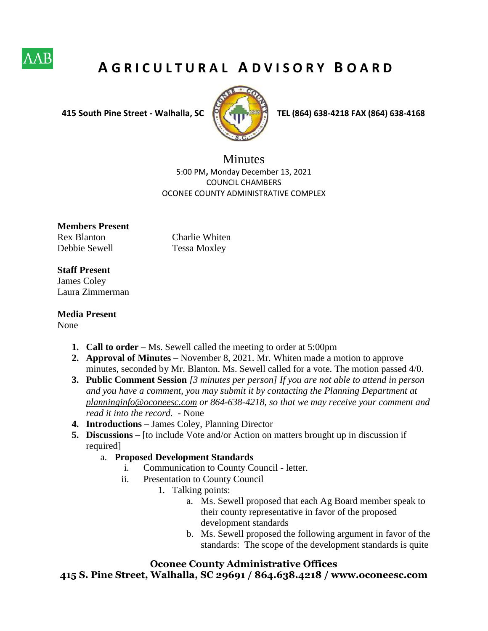

## **A G R I C U L T U R A L A D V I S O R Y B O A R D**



 **415 South Pine Street - Walhalla, SC TEL (864) 638-4218 FAX (864) 638-4168**

**Minutes** 5:00 PM**,** Monday December 13, 2021 COUNCIL CHAMBERS OCONEE COUNTY ADMINISTRATIVE COMPLEX

**Members Present**  Rex Blanton Charlie Whiten Debbie Sewell Tessa Moxley

## **Staff Present**

James Coley Laura Zimmerman

**Media Present** 

None

- **1. Call to order** Ms. Sewell called the meeting to order at 5:00pm
- **2. Approval of Minutes –** November 8, 2021. Mr. Whiten made a motion to approve minutes, seconded by Mr. Blanton. Ms. Sewell called for a vote. The motion passed 4/0.
- **3. Public Comment Session** *[3 minutes per person] If you are not able to attend in person and you have a comment, you may submit it by contacting the Planning Department at planninginfo@oconeesc.com or 864-638-4218, so that we may receive your comment and read it into the record. -* None
- **4. Introductions –** James Coley, Planning Director
- **5. Discussions –** [to include Vote and/or Action on matters brought up in discussion if required]
	- a. **Proposed Development Standards**
		- i. Communication to County Council letter.
		- ii. Presentation to County Council
			- 1. Talking points:
				- a. Ms. Sewell proposed that each Ag Board member speak to their county representative in favor of the proposed development standards
				- b. Ms. Sewell proposed the following argument in favor of the standards: The scope of the development standards is quite

## **Oconee County Administrative Offices**

**415 S. Pine Street, Walhalla, SC 29691 / 864.638.4218 / www.oconeesc.com**